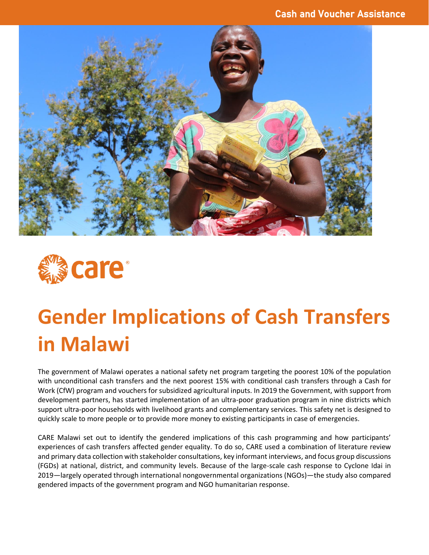



# **Gender Implications of Cash Transfers in Malawi**

The government of Malawi operates a national safety net program targeting the poorest 10% of the population with unconditional cash transfers and the next poorest 15% with conditional cash transfers through a Cash for Work (CfW) program and vouchers for subsidized agricultural inputs. In 2019 the Government, with support from development partners, has started implementation of an ultra-poor graduation program in nine districts which support ultra-poor households with livelihood grants and complementary services. This safety net is designed to quickly scale to more people or to provide more money to existing participants in case of emergencies.

CARE Malawi set out to identify the gendered implications of this cash programming and how participants' experiences of cash transfers affected gender equality. To do so, CARE used a combination of literature review and primary data collection with stakeholder consultations, key informant interviews, and focus group discussions (FGDs) at national, district, and community levels. Because of the large-scale cash response to Cyclone Idai in 2019—largely operated through international nongovernmental organizations (NGOs)—the study also compared gendered impacts of the government program and NGO humanitarian response.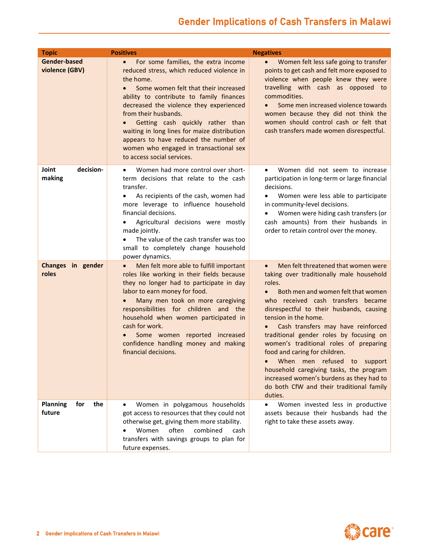## Gender Implications of Cash Transfers in Malawi

| <b>Topic</b>                            | <b>Positives</b>                                                                                                                                                                                                                                                                                                                                                                                                                                                       | <b>Negatives</b>                                                                                                                                                                                                                                                                                                                                                                                                                                                                                                                                                                                             |
|-----------------------------------------|------------------------------------------------------------------------------------------------------------------------------------------------------------------------------------------------------------------------------------------------------------------------------------------------------------------------------------------------------------------------------------------------------------------------------------------------------------------------|--------------------------------------------------------------------------------------------------------------------------------------------------------------------------------------------------------------------------------------------------------------------------------------------------------------------------------------------------------------------------------------------------------------------------------------------------------------------------------------------------------------------------------------------------------------------------------------------------------------|
| Gender-based<br>violence (GBV)          | For some families, the extra income<br>$\bullet$<br>reduced stress, which reduced violence in<br>the home.<br>Some women felt that their increased<br>ability to contribute to family finances<br>decreased the violence they experienced<br>from their husbands.<br>Getting cash quickly rather than<br>waiting in long lines for maize distribution<br>appears to have reduced the number of<br>women who engaged in transactional sex<br>to access social services. | $\bullet$<br>Women felt less safe going to transfer<br>points to get cash and felt more exposed to<br>violence when people knew they were<br>travelling with cash as opposed to<br>commodities.<br>Some men increased violence towards<br>women because they did not think the<br>women should control cash or felt that<br>cash transfers made women disrespectful.                                                                                                                                                                                                                                         |
| decision-<br>Joint<br>making            | Women had more control over short-<br>$\bullet$<br>term decisions that relate to the cash<br>transfer.<br>• As recipients of the cash, women had<br>more leverage to influence household<br>financial decisions.<br>Agricultural decisions were mostly<br>made jointly.<br>The value of the cash transfer was too<br>small to completely change household<br>power dynamics.                                                                                           | Women did not seem to increase<br>$\bullet$<br>participation in long-term or large financial<br>decisions.<br>Women were less able to participate<br>$\bullet$<br>in community-level decisions.<br>Women were hiding cash transfers (or<br>cash amounts) from their husbands in<br>order to retain control over the money.                                                                                                                                                                                                                                                                                   |
| Changes in gender<br>roles              | Men felt more able to fulfill important<br>roles like working in their fields because<br>they no longer had to participate in day<br>labor to earn money for food.<br>Many men took on more caregiving<br>responsibilities for children and the<br>household when women participated in<br>cash for work.<br>Some women reported increased<br>confidence handling money and making<br>financial decisions.                                                             | Men felt threatened that women were<br>$\bullet$<br>taking over traditionally male household<br>roles.<br>Both men and women felt that women<br>$\bullet$<br>who received cash transfers became<br>disrespectful to their husbands, causing<br>tension in the home.<br>Cash transfers may have reinforced<br>traditional gender roles by focusing on<br>women's traditional roles of preparing<br>food and caring for children.<br>When men refused to support<br>household caregiving tasks, the program<br>increased women's burdens as they had to<br>do both CfW and their traditional family<br>duties. |
| <b>Planning</b><br>the<br>for<br>future | Women in polygamous households<br>got access to resources that they could not<br>otherwise get, giving them more stability.<br>combined<br>Women<br>often<br>cash<br>transfers with savings groups to plan for<br>future expenses.                                                                                                                                                                                                                                     | Women invested less in productive<br>$\bullet$<br>assets because their husbands had the<br>right to take these assets away.                                                                                                                                                                                                                                                                                                                                                                                                                                                                                  |